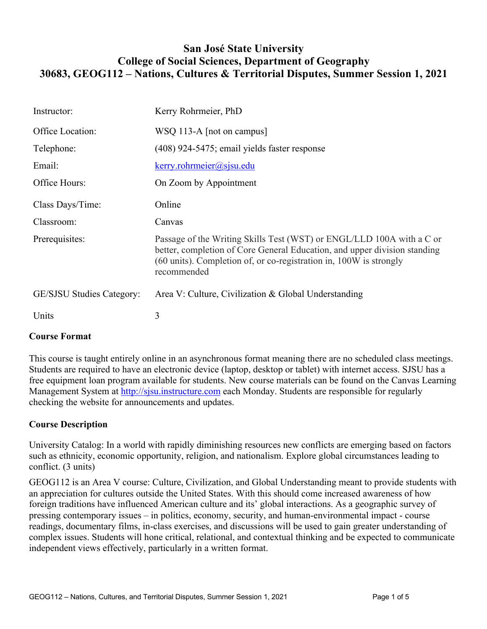# **San José State University College of Social Sciences, Department of Geography 30683, GEOG112 – Nations, Cultures & Territorial Disputes, Summer Session 1, 2021**

| Instructor:                      | Kerry Rohrmeier, PhD                                                                                                                                                                                                                    |
|----------------------------------|-----------------------------------------------------------------------------------------------------------------------------------------------------------------------------------------------------------------------------------------|
| Office Location:                 | WSQ 113-A [not on campus]                                                                                                                                                                                                               |
| Telephone:                       | (408) 924-5475; email yields faster response                                                                                                                                                                                            |
| Email:                           | $k$ erry.rohrmeier@sjsu.edu                                                                                                                                                                                                             |
| Office Hours:                    | On Zoom by Appointment                                                                                                                                                                                                                  |
| Class Days/Time:                 | Online                                                                                                                                                                                                                                  |
| Classroom:                       | Canvas                                                                                                                                                                                                                                  |
| Prerequisites:                   | Passage of the Writing Skills Test (WST) or ENGL/LLD 100A with a C or<br>better, completion of Core General Education, and upper division standing<br>(60 units). Completion of, or co-registration in, 100W is strongly<br>recommended |
| <b>GE/SJSU Studies Category:</b> | Area V: Culture, Civilization & Global Understanding                                                                                                                                                                                    |
| Units                            | 3                                                                                                                                                                                                                                       |

# **Course Format**

This course is taught entirely online in an asynchronous format meaning there are no scheduled class meetings. Students are required to have an electronic device (laptop, desktop or tablet) with internet access. SJSU has a free equipment loan program available for students. New course materials can be found on the Canvas Learning Management System at http://sjsu.instructure.com each Monday. Students are responsible for regularly checking the website for announcements and updates.

# **Course Description**

University Catalog: In a world with rapidly diminishing resources new conflicts are emerging based on factors such as ethnicity, economic opportunity, religion, and nationalism. Explore global circumstances leading to conflict. (3 units)

GEOG112 is an Area V course: Culture, Civilization, and Global Understanding meant to provide students with an appreciation for cultures outside the United States. With this should come increased awareness of how foreign traditions have influenced American culture and its' global interactions. As a geographic survey of pressing contemporary issues – in politics, economy, security, and human-environmental impact - course readings, documentary films, in-class exercises, and discussions will be used to gain greater understanding of complex issues. Students will hone critical, relational, and contextual thinking and be expected to communicate independent views effectively, particularly in a written format.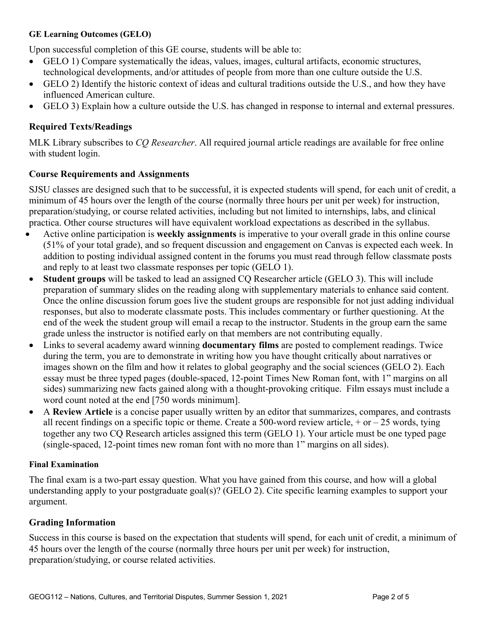#### **GE Learning Outcomes (GELO)**

Upon successful completion of this GE course, students will be able to:

- GELO 1) Compare systematically the ideas, values, images, cultural artifacts, economic structures, technological developments, and/or attitudes of people from more than one culture outside the U.S.
- GELO 2) Identify the historic context of ideas and cultural traditions outside the U.S., and how they have influenced American culture.
- GELO 3) Explain how a culture outside the U.S. has changed in response to internal and external pressures.

## **Required Texts/Readings**

MLK Library subscribes to *CQ Researcher*. All required journal article readings are available for free online with student login.

### **Course Requirements and Assignments**

SJSU classes are designed such that to be successful, it is expected students will spend, for each unit of credit, a minimum of 45 hours over the length of the course (normally three hours per unit per week) for instruction, preparation/studying, or course related activities, including but not limited to internships, labs, and clinical practica. Other course structures will have equivalent workload expectations as described in the syllabus.

- Active online participation is **weekly assignments** is imperative to your overall grade in this online course (51% of your total grade), and so frequent discussion and engagement on Canvas is expected each week. In addition to posting individual assigned content in the forums you must read through fellow classmate posts and reply to at least two classmate responses per topic (GELO 1).
- **Student groups** will be tasked to lead an assigned CQ Researcher article (GELO 3). This will include preparation of summary slides on the reading along with supplementary materials to enhance said content. Once the online discussion forum goes live the student groups are responsible for not just adding individual responses, but also to moderate classmate posts. This includes commentary or further questioning. At the end of the week the student group will email a recap to the instructor. Students in the group earn the same grade unless the instructor is notified early on that members are not contributing equally.
- Links to several academy award winning **documentary films** are posted to complement readings. Twice during the term, you are to demonstrate in writing how you have thought critically about narratives or images shown on the film and how it relates to global geography and the social sciences (GELO 2). Each essay must be three typed pages (double-spaced, 12-point Times New Roman font, with 1" margins on all sides) summarizing new facts gained along with a thought-provoking critique. Film essays must include a word count noted at the end [750 words minimum].
- A **Review Article** is a concise paper usually written by an editor that summarizes, compares, and contrasts all recent findings on a specific topic or theme. Create a 500-word review article,  $+$  or  $-$  25 words, tying together any two CQ Research articles assigned this term (GELO 1). Your article must be one typed page (single-spaced, 12-point times new roman font with no more than 1" margins on all sides).

### **Final Examination**

The final exam is a two-part essay question. What you have gained from this course, and how will a global understanding apply to your postgraduate goal(s)? (GELO 2). Cite specific learning examples to support your argument.

### **Grading Information**

Success in this course is based on the expectation that students will spend, for each unit of credit, a minimum of 45 hours over the length of the course (normally three hours per unit per week) for instruction, preparation/studying, or course related activities.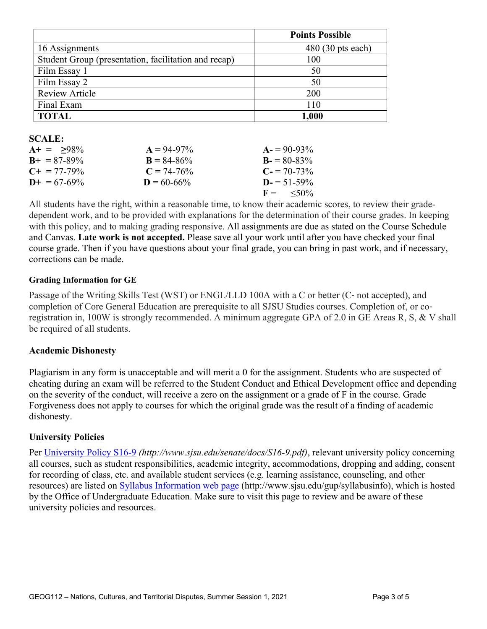|                                                      | <b>Points Possible</b> |
|------------------------------------------------------|------------------------|
| 16 Assignments                                       | $480(30)$ pts each)    |
| Student Group (presentation, facilitation and recap) | 100                    |
| Film Essay 1                                         | 50                     |
| Film Essay 2                                         | 50                     |
| <b>Review Article</b>                                | 200                    |
| Final Exam                                           | 110                    |
| <b>TOTAL</b>                                         | $1,\!000$              |

#### **SCALE:**

| $A+ = 98\%$           | $A = 94-97\%$   | $A = 90-93\%$        |
|-----------------------|-----------------|----------------------|
| $B_{+} = 87 - 89\%$   | $B = 84 - 86\%$ | $B = 80-83\%$        |
| $C_{\pm} = 77 - 79\%$ | $C = 74-76\%$   | $C = 70-73\%$        |
| $D_{+} = 67 - 69\%$   | $D = 60 - 66\%$ | $D = 51 - 59\%$      |
|                       |                 | $F = \frac{50\%}{6}$ |

All students have the right, within a reasonable time, to know their academic scores, to review their gradedependent work, and to be provided with explanations for the determination of their course grades. In keeping with this policy, and to making grading responsive. All assignments are due as stated on the Course Schedule and Canvas. **Late work is not accepted.** Please save all your work until after you have checked your final course grade. Then if you have questions about your final grade, you can bring in past work, and if necessary, corrections can be made.

#### **Grading Information for GE**

Passage of the Writing Skills Test (WST) or ENGL/LLD 100A with a C or better (C‐ not accepted), and completion of Core General Education are prerequisite to all SJSU Studies courses. Completion of, or coregistration in, 100W is strongly recommended. A minimum aggregate GPA of 2.0 in GE Areas R, S, & V shall be required of all students.

#### **Academic Dishonesty**

Plagiarism in any form is unacceptable and will merit a 0 for the assignment. Students who are suspected of cheating during an exam will be referred to the Student Conduct and Ethical Development office and depending on the severity of the conduct, will receive a zero on the assignment or a grade of F in the course. Grade Forgiveness does not apply to courses for which the original grade was the result of a finding of academic dishonesty.

#### **University Policies**

Per University Policy S16-9 *(http://www.sjsu.edu/senate/docs/S16-9.pdf)*, relevant university policy concerning all courses, such as student responsibilities, academic integrity, accommodations, dropping and adding, consent for recording of class, etc. and available student services (e.g. learning assistance, counseling, and other resources) are listed on Syllabus Information web page (http://www.sjsu.edu/gup/syllabusinfo), which is hosted by the Office of Undergraduate Education. Make sure to visit this page to review and be aware of these university policies and resources.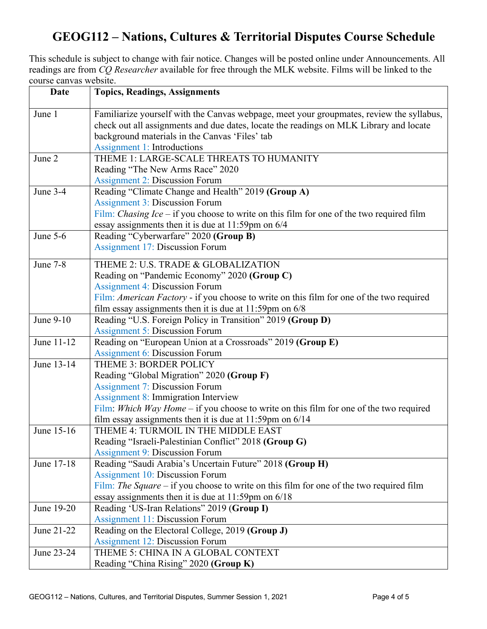# **GEOG112 – Nations, Cultures & Territorial Disputes Course Schedule**

This schedule is subject to change with fair notice. Changes will be posted online under Announcements. All readings are from *CQ Researcher* available for free through the MLK website. Films will be linked to the course canvas website.

| <b>Date</b> | <b>Topics, Readings, Assignments</b>                                                            |
|-------------|-------------------------------------------------------------------------------------------------|
| June 1      | Familiarize yourself with the Canvas webpage, meet your groupmates, review the syllabus,        |
|             | check out all assignments and due dates, locate the readings on MLK Library and locate          |
|             | background materials in the Canvas 'Files' tab                                                  |
|             | <b>Assignment 1: Introductions</b>                                                              |
| June 2      | THEME 1: LARGE-SCALE THREATS TO HUMANITY                                                        |
|             | Reading "The New Arms Race" 2020                                                                |
|             | <b>Assignment 2: Discussion Forum</b>                                                           |
| June 3-4    | Reading "Climate Change and Health" 2019 (Group A)                                              |
|             | <b>Assignment 3: Discussion Forum</b>                                                           |
|             | Film: <i>Chasing Ice</i> – if you choose to write on this film for one of the two required film |
|             | essay assignments then it is due at 11:59pm on 6/4                                              |
| June $5-6$  | Reading "Cyberwarfare" 2020 (Group B)                                                           |
|             | <b>Assignment 17: Discussion Forum</b>                                                          |
| June 7-8    | THEME 2: U.S. TRADE & GLOBALIZATION                                                             |
|             | Reading on "Pandemic Economy" 2020 (Group C)                                                    |
|             | <b>Assignment 4: Discussion Forum</b>                                                           |
|             | Film: American Factory - if you choose to write on this film for one of the two required        |
|             | film essay assignments then it is due at $11:59$ pm on $6/8$                                    |
| June 9-10   | Reading "U.S. Foreign Policy in Transition" 2019 (Group D)                                      |
|             | <b>Assignment 5: Discussion Forum</b>                                                           |
| June 11-12  | Reading on "European Union at a Crossroads" 2019 (Group E)                                      |
|             | <b>Assignment 6: Discussion Forum</b>                                                           |
| June 13-14  | THEME 3: BORDER POLICY                                                                          |
|             | Reading "Global Migration" 2020 (Group F)                                                       |
|             | <b>Assignment 7: Discussion Forum</b>                                                           |
|             | <b>Assignment 8: Immigration Interview</b>                                                      |
|             | Film: Which Way Home – if you choose to write on this film for one of the two required          |
|             | film essay assignments then it is due at $11:59$ pm on $6/14$                                   |
| June 15-16  | THEME 4: TURMOIL IN THE MIDDLE EAST                                                             |
|             | Reading "Israeli-Palestinian Conflict" 2018 (Group G)                                           |
|             | <b>Assignment 9: Discussion Forum</b>                                                           |
| June 17-18  | Reading "Saudi Arabia's Uncertain Future" 2018 (Group H)                                        |
|             | <b>Assignment 10: Discussion Forum</b>                                                          |
|             | Film: The Square – if you choose to write on this film for one of the two required film         |
|             | essay assignments then it is due at $11:59$ pm on $6/18$                                        |
| June 19-20  | Reading 'US-Iran Relations" 2019 (Group I)                                                      |
|             | <b>Assignment 11: Discussion Forum</b>                                                          |
| June 21-22  | Reading on the Electoral College, 2019 (Group J)                                                |
|             | <b>Assignment 12: Discussion Forum</b>                                                          |
| June 23-24  | THEME 5: CHINA IN A GLOBAL CONTEXT                                                              |
|             | Reading "China Rising" 2020 (Group K)                                                           |